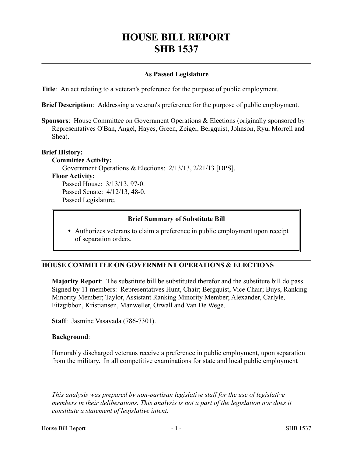# **HOUSE BILL REPORT SHB 1537**

## **As Passed Legislature**

**Title**: An act relating to a veteran's preference for the purpose of public employment.

**Brief Description**: Addressing a veteran's preference for the purpose of public employment.

**Sponsors**: House Committee on Government Operations & Elections (originally sponsored by Representatives O'Ban, Angel, Hayes, Green, Zeiger, Bergquist, Johnson, Ryu, Morrell and Shea).

#### **Brief History:**

**Committee Activity:** Government Operations & Elections: 2/13/13, 2/21/13 [DPS]. **Floor Activity:** Passed House: 3/13/13, 97-0. Passed Senate: 4/12/13, 48-0. Passed Legislature.

#### **Brief Summary of Substitute Bill**

 Authorizes veterans to claim a preference in public employment upon receipt of separation orders.

### **HOUSE COMMITTEE ON GOVERNMENT OPERATIONS & ELECTIONS**

**Majority Report**: The substitute bill be substituted therefor and the substitute bill do pass. Signed by 11 members: Representatives Hunt, Chair; Bergquist, Vice Chair; Buys, Ranking Minority Member; Taylor, Assistant Ranking Minority Member; Alexander, Carlyle, Fitzgibbon, Kristiansen, Manweller, Orwall and Van De Wege.

**Staff**: Jasmine Vasavada (786-7301).

#### **Background**:

––––––––––––––––––––––

Honorably discharged veterans receive a preference in public employment, upon separation from the military. In all competitive examinations for state and local public employment

*This analysis was prepared by non-partisan legislative staff for the use of legislative members in their deliberations. This analysis is not a part of the legislation nor does it constitute a statement of legislative intent.*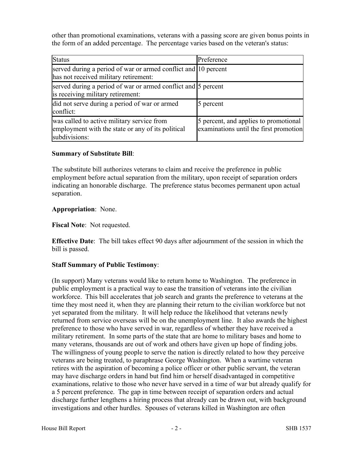other than promotional examinations, veterans with a passing score are given bonus points in the form of an added percentage. The percentage varies based on the veteran's status:

| <b>Status</b>                                                                                                    | Preference                                                                      |
|------------------------------------------------------------------------------------------------------------------|---------------------------------------------------------------------------------|
| served during a period of war or armed conflict and 10 percent<br>has not received military retirement:          |                                                                                 |
| served during a period of war or armed conflict and 5 percent<br>is receiving military retirement:               |                                                                                 |
| did not serve during a period of war or armed<br>conflict:                                                       | 5 percent                                                                       |
| was called to active military service from<br>employment with the state or any of its political<br>subdivisions: | 5 percent, and applies to promotional<br>examinations until the first promotion |

## **Summary of Substitute Bill**:

The substitute bill authorizes veterans to claim and receive the preference in public employment before actual separation from the military, upon receipt of separation orders indicating an honorable discharge. The preference status becomes permanent upon actual separation.

## **Appropriation**: None.

**Fiscal Note**: Not requested.

**Effective Date**: The bill takes effect 90 days after adjournment of the session in which the bill is passed.

## **Staff Summary of Public Testimony**:

(In support) Many veterans would like to return home to Washington. The preference in public employment is a practical way to ease the transition of veterans into the civilian workforce. This bill accelerates that job search and grants the preference to veterans at the time they most need it, when they are planning their return to the civilian workforce but not yet separated from the military. It will help reduce the likelihood that veterans newly returned from service overseas will be on the unemployment line. It also awards the highest preference to those who have served in war, regardless of whether they have received a military retirement. In some parts of the state that are home to military bases and home to many veterans, thousands are out of work and others have given up hope of finding jobs. The willingness of young people to serve the nation is directly related to how they perceive veterans are being treated, to paraphrase George Washington. When a wartime veteran retires with the aspiration of becoming a police officer or other public servant, the veteran may have discharge orders in hand but find him or herself disadvantaged in competitive examinations, relative to those who never have served in a time of war but already qualify for a 5 percent preference. The gap in time between receipt of separation orders and actual discharge further lengthens a hiring process that already can be drawn out, with background investigations and other hurdles. Spouses of veterans killed in Washington are often